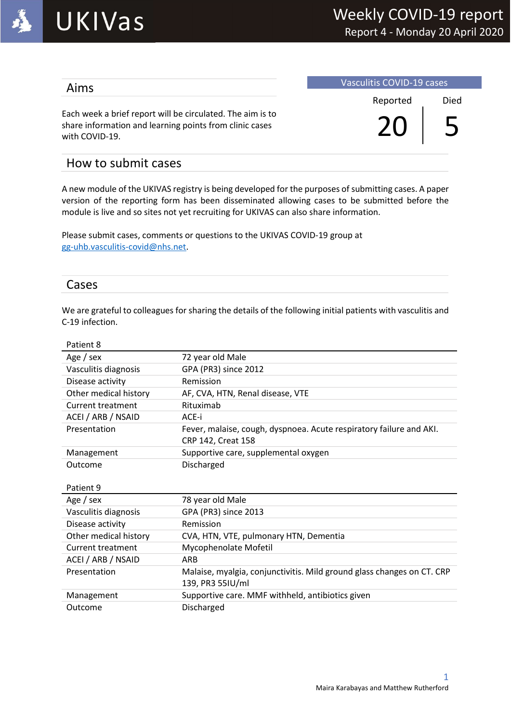

### Aims

Vasculitis COVID-19 cases

Each week a brief report will be circulated. The aim is to share information and learning points from clinic cases with COVID-19.

 Reported Died  $20 | 5$ 

## How to submit cases

A new module of the UKIVAS registry is being developed for the purposes of submitting cases. A paper version of the reporting form has been disseminated allowing cases to be submitted before the module is live and so sites not yet recruiting for UKIVAS can also share information.

Please submit cases, comments or questions to the UKIVAS COVID-19 group at gg-uhb.vasculitis-covid@nhs.net.

#### Cases

We are grateful to colleagues for sharing the details of the following initial patients with vasculitis and C-19 infection.

| Patient 8                |                                                                                            |
|--------------------------|--------------------------------------------------------------------------------------------|
| Age / sex                | 72 year old Male                                                                           |
| Vasculitis diagnosis     | GPA (PR3) since 2012                                                                       |
| Disease activity         | Remission                                                                                  |
| Other medical history    | AF, CVA, HTN, Renal disease, VTE                                                           |
| <b>Current treatment</b> | Rituximab                                                                                  |
| ACEI / ARB / NSAID       | ACE-i                                                                                      |
| Presentation             | Fever, malaise, cough, dyspnoea. Acute respiratory failure and AKI.<br>CRP 142, Creat 158  |
| Management               | Supportive care, supplemental oxygen                                                       |
| Outcome                  | Discharged                                                                                 |
|                          |                                                                                            |
| Patient 9                |                                                                                            |
| Age / sex                | 78 year old Male                                                                           |
| Vasculitis diagnosis     | GPA (PR3) since 2013                                                                       |
| Disease activity         | Remission                                                                                  |
| Other medical history    | CVA, HTN, VTE, pulmonary HTN, Dementia                                                     |
| Current treatment        | Mycophenolate Mofetil                                                                      |
| ACEI / ARB / NSAID       | <b>ARB</b>                                                                                 |
| Presentation             | Malaise, myalgia, conjunctivitis. Mild ground glass changes on CT. CRP<br>139, PR3 55IU/ml |
| Management               | Supportive care. MMF withheld, antibiotics given                                           |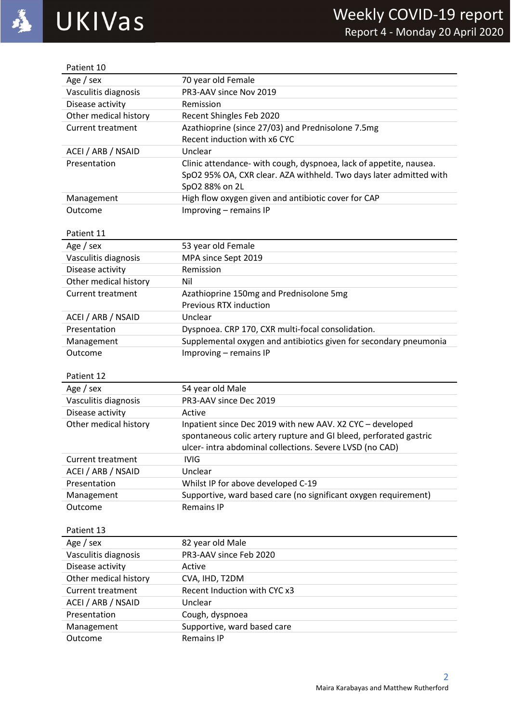| Patient 10               |                                                                                                                                                            |
|--------------------------|------------------------------------------------------------------------------------------------------------------------------------------------------------|
| Age / sex                | 70 year old Female                                                                                                                                         |
| Vasculitis diagnosis     | PR3-AAV since Nov 2019                                                                                                                                     |
| Disease activity         | Remission                                                                                                                                                  |
| Other medical history    | Recent Shingles Feb 2020                                                                                                                                   |
| <b>Current treatment</b> | Azathioprine (since 27/03) and Prednisolone 7.5mg                                                                                                          |
|                          | Recent induction with x6 CYC                                                                                                                               |
| ACEI / ARB / NSAID       | Unclear                                                                                                                                                    |
| Presentation             | Clinic attendance- with cough, dyspnoea, lack of appetite, nausea.<br>SpO2 95% OA, CXR clear. AZA withheld. Two days later admitted with<br>SpO2 88% on 2L |
| Management               | High flow oxygen given and antibiotic cover for CAP                                                                                                        |
| Outcome                  | Improving - remains IP                                                                                                                                     |
|                          |                                                                                                                                                            |
| Patient 11               |                                                                                                                                                            |
| Age / sex                | 53 year old Female                                                                                                                                         |
| Vasculitis diagnosis     | MPA since Sept 2019                                                                                                                                        |
| Disease activity         | Remission                                                                                                                                                  |
| Other medical history    | Nil                                                                                                                                                        |
| <b>Current treatment</b> | Azathioprine 150mg and Prednisolone 5mg                                                                                                                    |
|                          | Previous RTX induction                                                                                                                                     |
| ACEI / ARB / NSAID       | Unclear                                                                                                                                                    |
| Presentation             | Dyspnoea. CRP 170, CXR multi-focal consolidation.                                                                                                          |
| Management               | Supplemental oxygen and antibiotics given for secondary pneumonia                                                                                          |
| Outcome                  | Improving - remains IP                                                                                                                                     |
|                          |                                                                                                                                                            |
| Patient 12               |                                                                                                                                                            |
| Age / sex                | 54 year old Male                                                                                                                                           |
| Vasculitis diagnosis     | PR3-AAV since Dec 2019                                                                                                                                     |
| Disease activity         | Active                                                                                                                                                     |
| Other medical history    | Inpatient since Dec 2019 with new AAV. X2 CYC - developed                                                                                                  |
|                          | spontaneous colic artery rupture and GI bleed, perforated gastric                                                                                          |
|                          | ulcer- intra abdominal collections. Severe LVSD (no CAD)                                                                                                   |
| <b>Current treatment</b> | <b>IVIG</b>                                                                                                                                                |
| ACEI / ARB / NSAID       | Unclear                                                                                                                                                    |
| Presentation             | Whilst IP for above developed C-19                                                                                                                         |
| Management               | Supportive, ward based care (no significant oxygen requirement)                                                                                            |
| Outcome                  | <b>Remains IP</b>                                                                                                                                          |
|                          |                                                                                                                                                            |
| Patient 13               |                                                                                                                                                            |
| Age / sex                | 82 year old Male                                                                                                                                           |
| Vasculitis diagnosis     | PR3-AAV since Feb 2020                                                                                                                                     |
| Disease activity         | Active                                                                                                                                                     |
| Other medical history    | CVA, IHD, T2DM                                                                                                                                             |
| <b>Current treatment</b> | Recent Induction with CYC x3                                                                                                                               |
| ACEI / ARB / NSAID       | Unclear                                                                                                                                                    |
| Presentation             | Cough, dyspnoea                                                                                                                                            |
| Management               | Supportive, ward based care                                                                                                                                |
| Outcome                  | <b>Remains IP</b>                                                                                                                                          |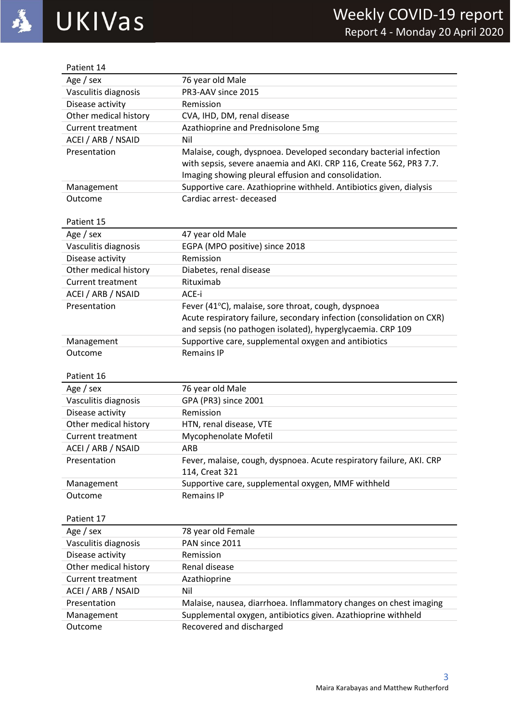| Patient 14               |                                                                       |
|--------------------------|-----------------------------------------------------------------------|
| Age / sex                | 76 year old Male                                                      |
| Vasculitis diagnosis     | PR3-AAV since 2015                                                    |
| Disease activity         | Remission                                                             |
| Other medical history    | CVA, IHD, DM, renal disease                                           |
| <b>Current treatment</b> | Azathioprine and Prednisolone 5mg                                     |
| ACEI / ARB / NSAID       | Nil                                                                   |
| Presentation             | Malaise, cough, dyspnoea. Developed secondary bacterial infection     |
|                          | with sepsis, severe anaemia and AKI. CRP 116, Create 562, PR3 7.7.    |
|                          | Imaging showing pleural effusion and consolidation.                   |
| Management               | Supportive care. Azathioprine withheld. Antibiotics given, dialysis   |
| Outcome                  | Cardiac arrest-deceased                                               |
|                          |                                                                       |
| Patient 15               |                                                                       |
| Age / sex                | 47 year old Male                                                      |
| Vasculitis diagnosis     | EGPA (MPO positive) since 2018                                        |
| Disease activity         | Remission                                                             |
| Other medical history    | Diabetes, renal disease                                               |
| <b>Current treatment</b> | Rituximab                                                             |
| ACEI / ARB / NSAID       | ACE-i                                                                 |
| Presentation             | Fever (41°C), malaise, sore throat, cough, dyspnoea                   |
|                          | Acute respiratory failure, secondary infection (consolidation on CXR) |
|                          | and sepsis (no pathogen isolated), hyperglycaemia. CRP 109            |
| Management               | Supportive care, supplemental oxygen and antibiotics                  |
|                          |                                                                       |
| Outcome                  | <b>Remains IP</b>                                                     |
|                          |                                                                       |
| Patient 16               |                                                                       |
| Age / sex                | 76 year old Male                                                      |
| Vasculitis diagnosis     | GPA (PR3) since 2001                                                  |
| Disease activity         | Remission                                                             |
| Other medical history    | HTN, renal disease, VTE                                               |
| <b>Current treatment</b> | Mycophenolate Mofetil                                                 |
| ACEI / ARB / NSAID       | ARB                                                                   |
| Presentation             | Fever, malaise, cough, dyspnoea. Acute respiratory failure, AKI. CRP  |
|                          | 114, Creat 321                                                        |
| Management               | Supportive care, supplemental oxygen, MMF withheld                    |
| Outcome                  | <b>Remains IP</b>                                                     |
|                          |                                                                       |
| Patient 17               |                                                                       |
| Age / sex                | 78 year old Female                                                    |
| Vasculitis diagnosis     | PAN since 2011                                                        |
| Disease activity         | Remission                                                             |
| Other medical history    | Renal disease                                                         |
| <b>Current treatment</b> | Azathioprine                                                          |
| ACEI / ARB / NSAID       | Nil                                                                   |
| Presentation             | Malaise, nausea, diarrhoea. Inflammatory changes on chest imaging     |
| Management               | Supplemental oxygen, antibiotics given. Azathioprine withheld         |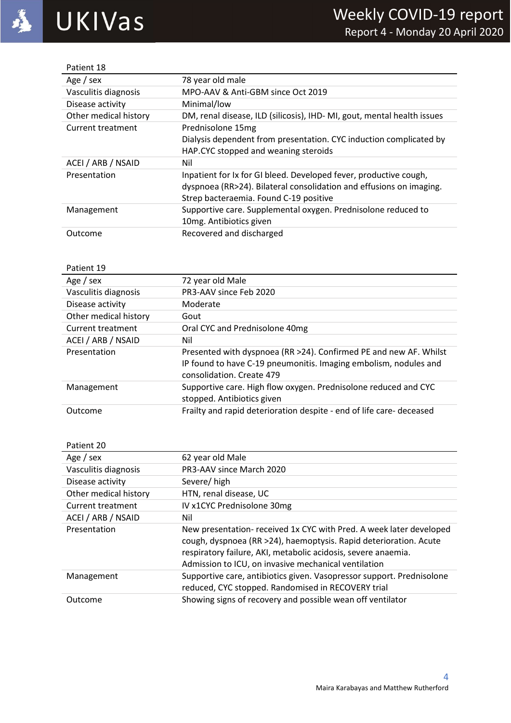| Patient 18            |                                                                        |
|-----------------------|------------------------------------------------------------------------|
| Age / sex             | 78 year old male                                                       |
| Vasculitis diagnosis  | MPO-AAV & Anti-GBM since Oct 2019                                      |
| Disease activity      | Minimal/low                                                            |
| Other medical history | DM, renal disease, ILD (silicosis), IHD-MI, gout, mental health issues |
| Current treatment     | Prednisolone 15mg                                                      |
|                       | Dialysis dependent from presentation. CYC induction complicated by     |
|                       | HAP.CYC stopped and weaning steroids                                   |
| ACEI / ARB / NSAID    | Nil                                                                    |
| Presentation          | Inpatient for Ix for GI bleed. Developed fever, productive cough,      |
|                       | dyspnoea (RR>24). Bilateral consolidation and effusions on imaging.    |
|                       | Strep bacteraemia. Found C-19 positive                                 |
| Management            | Supportive care. Supplemental oxygen. Prednisolone reduced to          |
|                       | 10mg. Antibiotics given                                                |
| Outcome               | Recovered and discharged                                               |

#### Patient 19

| Age / $sex$           | 72 year old Male                                                                                                                                                   |
|-----------------------|--------------------------------------------------------------------------------------------------------------------------------------------------------------------|
| Vasculitis diagnosis  | PR3-AAV since Feb 2020                                                                                                                                             |
| Disease activity      | Moderate                                                                                                                                                           |
| Other medical history | Gout                                                                                                                                                               |
| Current treatment     | Oral CYC and Prednisolone 40mg                                                                                                                                     |
| ACEI / ARB / NSAID    | Nil                                                                                                                                                                |
| Presentation          | Presented with dyspnoea (RR >24). Confirmed PE and new AF. Whilst<br>IP found to have C-19 pneumonitis. Imaging embolism, nodules and<br>consolidation. Create 479 |
| Management            | Supportive care. High flow oxygen. Prednisolone reduced and CYC<br>stopped. Antibiotics given                                                                      |
| Outcome               | Frailty and rapid deterioration despite - end of life care- deceased                                                                                               |

| Patient 20            |                                                                                                                                                                                                                                                                   |
|-----------------------|-------------------------------------------------------------------------------------------------------------------------------------------------------------------------------------------------------------------------------------------------------------------|
| Age / $sex$           | 62 year old Male                                                                                                                                                                                                                                                  |
| Vasculitis diagnosis  | PR3-AAV since March 2020                                                                                                                                                                                                                                          |
| Disease activity      | Severe/high                                                                                                                                                                                                                                                       |
| Other medical history | HTN, renal disease, UC                                                                                                                                                                                                                                            |
| Current treatment     | IV x1CYC Prednisolone 30mg                                                                                                                                                                                                                                        |
| ACEI / ARB / NSAID    | Nil                                                                                                                                                                                                                                                               |
| Presentation          | New presentation- received 1x CYC with Pred. A week later developed<br>cough, dyspnoea (RR >24), haemoptysis. Rapid deterioration. Acute<br>respiratory failure, AKI, metabolic acidosis, severe anaemia.<br>Admission to ICU, on invasive mechanical ventilation |
| Management            | Supportive care, antibiotics given. Vasopressor support. Prednisolone<br>reduced, CYC stopped. Randomised in RECOVERY trial                                                                                                                                       |
| Outcome               | Showing signs of recovery and possible wean off ventilator                                                                                                                                                                                                        |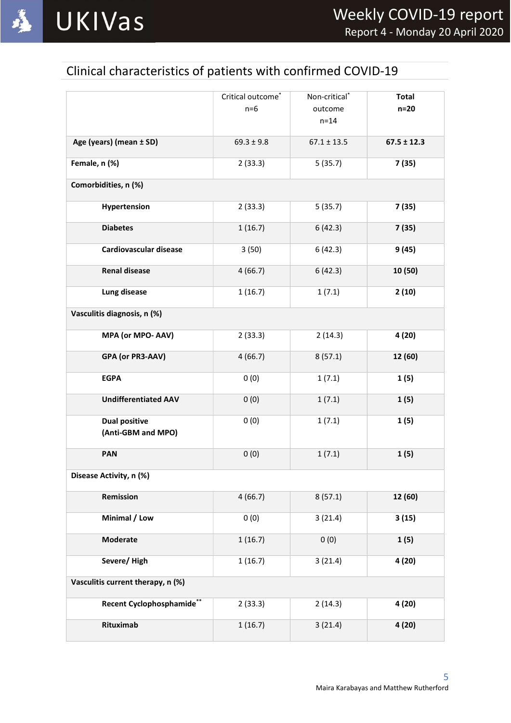

# Clinical characteristics of patients with confirmed COVID-19

|                                            | Critical outcome <sup>*</sup><br>$n=6$ | Non-critical <sup>*</sup><br>outcome<br>$n=14$ | <b>Total</b><br>$n=20$ |
|--------------------------------------------|----------------------------------------|------------------------------------------------|------------------------|
| Age (years) (mean ± SD)                    | $69.3 \pm 9.8$                         | $67.1 \pm 13.5$                                | $67.5 \pm 12.3$        |
| Female, n (%)                              | 2(33.3)                                | 5(35.7)                                        | 7(35)                  |
| Comorbidities, n (%)                       |                                        |                                                |                        |
| Hypertension                               | 2(33.3)                                | 5(35.7)                                        | 7(35)                  |
| <b>Diabetes</b>                            | 1(16.7)                                | 6(42.3)                                        | 7(35)                  |
| <b>Cardiovascular disease</b>              | 3(50)                                  | 6(42.3)                                        | 9(45)                  |
| <b>Renal disease</b>                       | 4(66.7)                                | 6(42.3)                                        | 10 (50)                |
| Lung disease                               | 1(16.7)                                | 1(7.1)                                         | 2(10)                  |
| Vasculitis diagnosis, n (%)                |                                        |                                                |                        |
| MPA (or MPO- AAV)                          | 2(33.3)                                | 2(14.3)                                        | 4(20)                  |
| GPA (or PR3-AAV)                           | 4(66.7)                                | 8(57.1)                                        | 12 (60)                |
| <b>EGPA</b>                                | 0(0)                                   | 1(7.1)                                         | 1(5)                   |
| <b>Undifferentiated AAV</b>                | 0(0)                                   | 1(7.1)                                         | 1(5)                   |
| <b>Dual positive</b><br>(Anti-GBM and MPO) | 0(0)                                   | 1(7.1)                                         | 1(5)                   |
| PAN                                        | 0(0)                                   | 1(7.1)                                         | 1(5)                   |
| Disease Activity, n (%)                    |                                        |                                                |                        |
| Remission                                  | 4(66.7)                                | 8(57.1)                                        | 12 (60)                |
| Minimal / Low                              | 0(0)                                   | 3(21.4)                                        | 3(15)                  |
| Moderate                                   | 1(16.7)                                | 0(0)                                           | 1(5)                   |
| Severe/High                                | 1(16.7)                                | 3(21.4)                                        | 4(20)                  |
| Vasculitis current therapy, n (%)          |                                        |                                                |                        |
| Recent Cyclophosphamide**                  | 2(33.3)                                | 2(14.3)                                        | 4(20)                  |
| Rituximab                                  | 1(16.7)                                | 3(21.4)                                        | 4(20)                  |